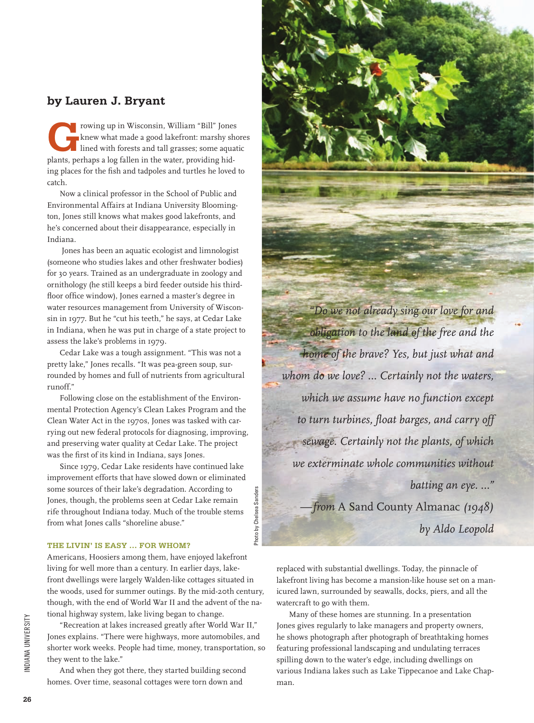## **by Lauren J. Bryant**

**Growing up in Wisconsin, William "Bill" Jones<br>
knew what made a good lakefront: marshy shore<br>
lined with forests and tall grasses; some aquatic<br>
plants, perhaps a log follow in the writer, providing hid** knew what made a good lakefront: marshy shores plants, perhaps a log fallen in the water, providing hiding places for the fish and tadpoles and turtles he loved to catch.

Now a clinical professor in the School of Public and Environmental Affairs at Indiana University Bloomington, Jones still knows what makes good lakefronts, and he's concerned about their disappearance, especially in Indiana.

 Jones has been an aquatic ecologist and limnologist (someone who studies lakes and other freshwater bodies) for 30 years. Trained as an undergraduate in zoology and ornithology (he still keeps a bird feeder outside his thirdfloor office window), Jones earned a master's degree in water resources management from University of Wisconsin in 1977. But he "cut his teeth," he says, at Cedar Lake in Indiana, when he was put in charge of a state project to assess the lake's problems in 1979.

Cedar Lake was a tough assignment. "This was not a pretty lake," Jones recalls. "It was pea-green soup, surrounded by homes and full of nutrients from agricultural runoff."

Following close on the establishment of the Environmental Protection Agency's Clean Lakes Program and the Clean Water Act in the 1970s, Jones was tasked with carrying out new federal protocols for diagnosing, improving, and preserving water quality at Cedar Lake. The project was the first of its kind in Indiana, says Jones.

Since 1979, Cedar Lake residents have continued lake improvement efforts that have slowed down or eliminated some sources of their lake's degradation. According to Jones, though, the problems seen at Cedar Lake remain rife throughout Indiana today. Much of the trouble stems from what Jones calls "shoreline abuse."

Photo by Chelsea Sanders

Photo by Chelsea

San

## **The livin' is easy … for whom?**

Americans, Hoosiers among them, have enjoyed lakefront living for well more than a century. In earlier days, lakefront dwellings were largely Walden-like cottages situated in the woods, used for summer outings. By the mid-20th century, though, with the end of World War II and the advent of the national highway system, lake living began to change.

"Recreation at lakes increased greatly after World War II," Jones explains. "There were highways, more automobiles, and shorter work weeks. People had time, money, transportation, so they went to the lake."

And when they got there, they started building second homes. Over time, seasonal cottages were torn down and



replaced with substantial dwellings. Today, the pinnacle of lakefront living has become a mansion-like house set on a manicured lawn, surrounded by seawalls, docks, piers, and all the watercraft to go with them.

Many of these homes are stunning. In a presentation Jones gives regularly to lake managers and property owners, he shows photograph after photograph of breathtaking homes featuring professional landscaping and undulating terraces spilling down to the water's edge, including dwellings on various Indiana lakes such as Lake Tippecanoe and Lake Chapman.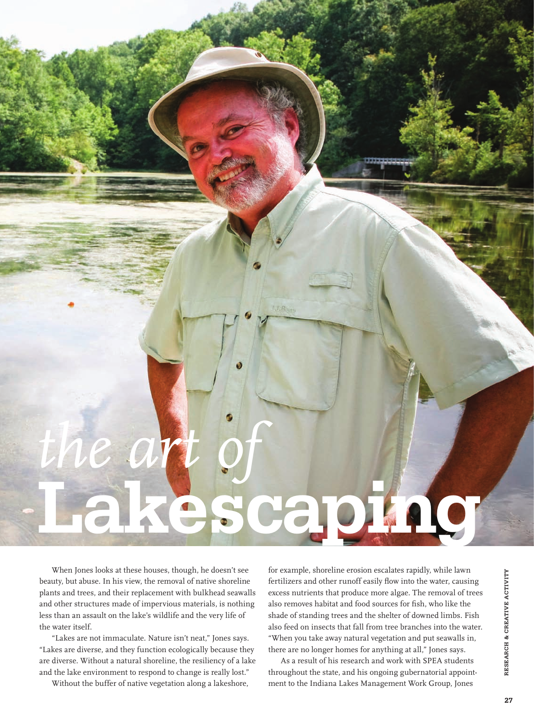

When Jones looks at these houses, though, he doesn't see beauty, but abuse. In his view, the removal of native shoreline plants and trees, and their replacement with bulkhead seawalls and other structures made of impervious materials, is nothing less than an assault on the lake's wildlife and the very life of the water itself.

"Lakes are not immaculate. Nature isn't neat," Jones says. "Lakes are diverse, and they function ecologically because they are diverse. Without a natural shoreline, the resiliency of a lake and the lake environment to respond to change is really lost."

Without the buffer of native vegetation along a lakeshore,

for example, shoreline erosion escalates rapidly, while lawn fertilizers and other runoff easily flow into the water, causing excess nutrients that produce more algae. The removal of trees also removes habitat and food sources for fish, who like the shade of standing trees and the shelter of downed limbs. Fish also feed on insects that fall from tree branches into the water. "When you take away natural vegetation and put seawalls in, there are no longer homes for anything at all," Jones says.

As a result of his research and work with SPEA students throughout the state, and his ongoing gubernatorial appointment to the Indiana Lakes Management Work Group, Jones